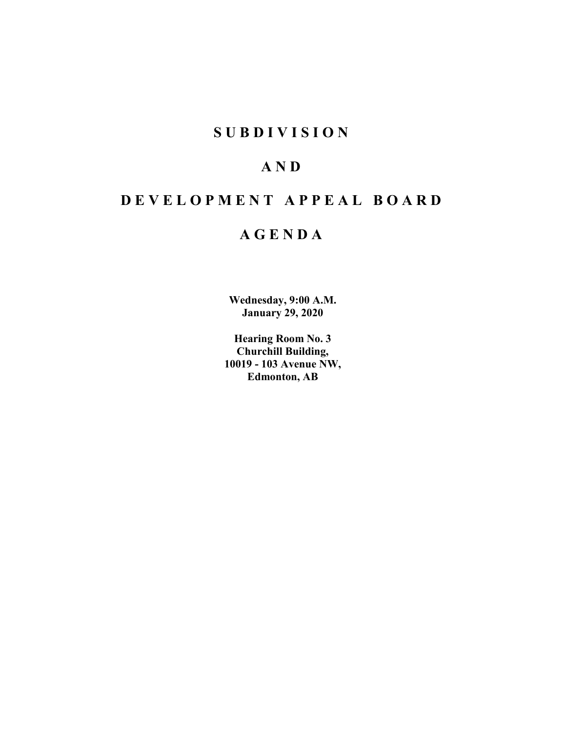# **SUBDIVISION**

# **AND**

# **DEVELOPMENT APPEAL BOARD**

# **AGENDA**

**Wednesday, 9:00 A.M. January 29, 2020**

**Hearing Room No. 3 Churchill Building, 10019 - 103 Avenue NW, Edmonton, AB**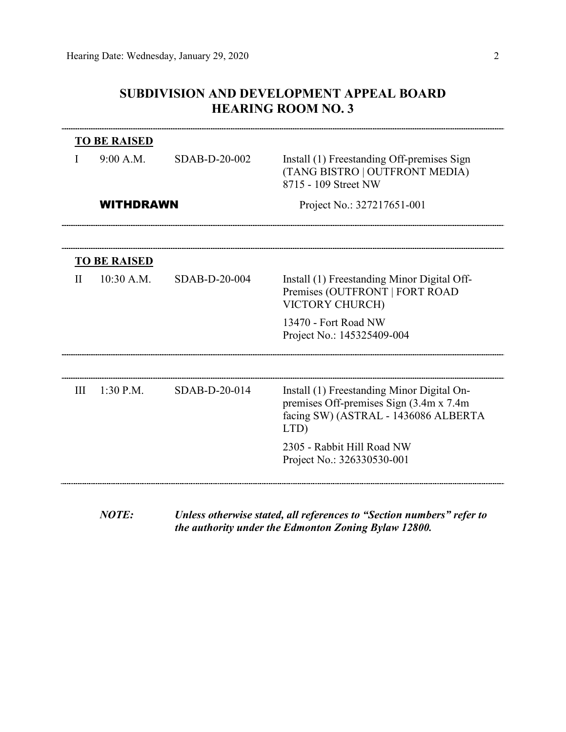## **SUBDIVISION AND DEVELOPMENT APPEAL BOARD HEARING ROOM NO. 3**

|              | <b>TO BE RAISED</b> |               |                                                                                                                                        |
|--------------|---------------------|---------------|----------------------------------------------------------------------------------------------------------------------------------------|
|              | 9:00 A.M.           | SDAB-D-20-002 | Install (1) Freestanding Off-premises Sign<br>(TANG BISTRO   OUTFRONT MEDIA)<br>8715 - 109 Street NW                                   |
|              | <b>WITHDRAWN</b>    |               | Project No.: 327217651-001                                                                                                             |
|              |                     |               |                                                                                                                                        |
|              | <b>TO BE RAISED</b> |               |                                                                                                                                        |
| $\mathbf{H}$ | 10:30 A.M.          | SDAB-D-20-004 | Install (1) Freestanding Minor Digital Off-<br>Premises (OUTFRONT   FORT ROAD<br>VICTORY CHURCH)                                       |
|              |                     |               | 13470 - Fort Road NW<br>Project No.: 145325409-004                                                                                     |
|              |                     |               |                                                                                                                                        |
| III          | 1:30 P.M.           | SDAB-D-20-014 | Install (1) Freestanding Minor Digital On-<br>premises Off-premises Sign (3.4m x 7.4m)<br>facing SW) (ASTRAL - 1436086 ALBERTA<br>LTD) |
|              |                     |               | 2305 - Rabbit Hill Road NW<br>Project No.: 326330530-001                                                                               |
|              |                     |               |                                                                                                                                        |

*NOTE: Unless otherwise stated, all references to "Section numbers" refer to the authority under the Edmonton Zoning Bylaw 12800.*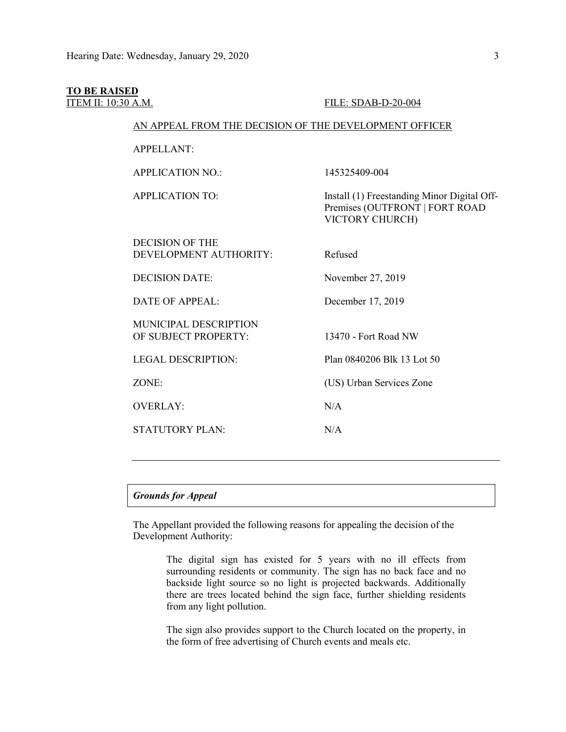## **TO BE RAISED**

#### ITEM II: 10:30 A.M. FILE: SDAB-D-20-004

## AN APPEAL FROM THE DECISION OF THE DEVELOPMENT OFFICER

APPELLANT:

APPLICATION NO.: 145325409-004

APPLICATION TO: Install (1) Freestanding Minor Digital Off-Premises (OUTFRONT | FORT ROAD VICTORY CHURCH)

| <b>DECISION OF THE</b><br>DEVELOPMENT AUTHORITY:     | Refused                    |
|------------------------------------------------------|----------------------------|
| <b>DECISION DATE:</b>                                | November 27, 2019          |
| DATE OF APPEAL:                                      | December 17, 2019          |
| <b>MUNICIPAL DESCRIPTION</b><br>OF SUBJECT PROPERTY: | 13470 - Fort Road NW       |
| <b>LEGAL DESCRIPTION:</b>                            | Plan 0840206 Blk 13 Lot 50 |
| ZONE:                                                | (US) Urban Services Zone   |
| <b>OVERLAY:</b>                                      | N/A                        |
| STATUTORY PLAN:                                      | N/A                        |
|                                                      |                            |

## *Grounds for Appeal*

The Appellant provided the following reasons for appealing the decision of the Development Authority:

> The digital sign has existed for 5 years with no ill effects from surrounding residents or community. The sign has no back face and no backside light source so no light is projected backwards. Additionally there are trees located behind the sign face, further shielding residents from any light pollution.

> The sign also provides support to the Church located on the property, in the form of free advertising of Church events and meals etc.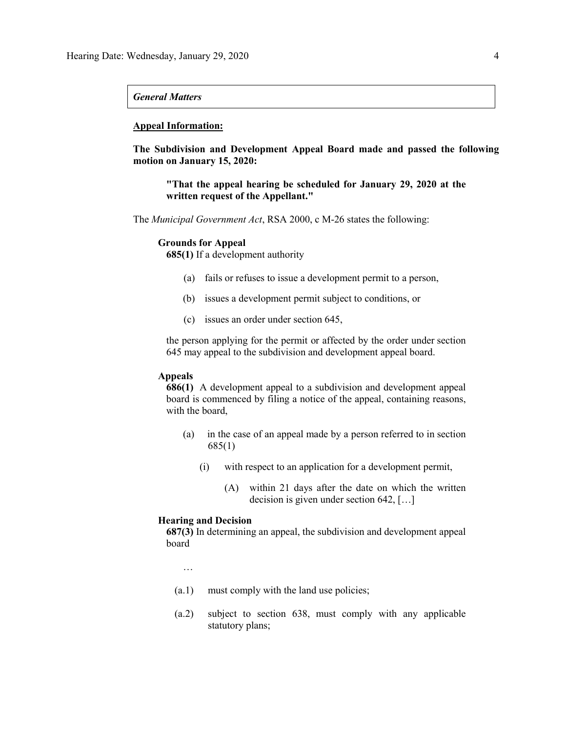## *General Matters*

## **Appeal Information:**

**The Subdivision and Development Appeal Board made and passed the following motion on January 15, 2020:**

**"That the appeal hearing be scheduled for January 29, 2020 at the written request of the Appellant."**

The *Municipal Government Act*, RSA 2000, c M-26 states the following:

## **Grounds for Appeal**

**685(1)** If a development authority

- (a) fails or refuses to issue a development permit to a person,
- (b) issues a development permit subject to conditions, or
- (c) issues an order under section 645,

the person applying for the permit or affected by the order under section 645 may appeal to the subdivision and development appeal board.

## **Appeals**

**686(1)** A development appeal to a subdivision and development appeal board is commenced by filing a notice of the appeal, containing reasons, with the board,

- (a) in the case of an appeal made by a person referred to in section 685(1)
	- (i) with respect to an application for a development permit,
		- (A) within 21 days after the date on which the written decision is given under section 642, […]

### **Hearing and Decision**

**687(3)** In determining an appeal, the subdivision and development appeal board

…

- (a.1) must comply with the land use policies;
- (a.2) subject to section 638, must comply with any applicable statutory plans;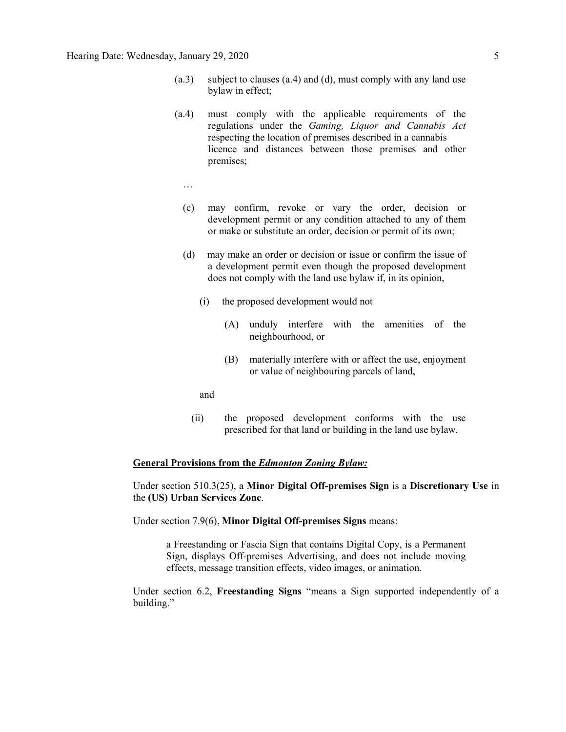- (a.3) subject to clauses (a.4) and (d), must comply with any land use bylaw in effect;
- (a.4) must comply with the applicable requirements of the regulations under the *Gaming, Liquor and Cannabis Act* respecting the location of premises described in a cannabis licence and distances between those premises and other premises;
	- …
	- (c) may confirm, revoke or vary the order, decision or development permit or any condition attached to any of them or make or substitute an order, decision or permit of its own;
	- (d) may make an order or decision or issue or confirm the issue of a development permit even though the proposed development does not comply with the land use bylaw if, in its opinion,
		- (i) the proposed development would not
			- (A) unduly interfere with the amenities of the neighbourhood, or
			- (B) materially interfere with or affect the use, enjoyment or value of neighbouring parcels of land,
		- and
		- (ii) the proposed development conforms with the use prescribed for that land or building in the land use bylaw.

## **General Provisions from the** *Edmonton Zoning Bylaw:*

Under section 510.3(25), a **Minor Digital Off-premises Sign** is a **Discretionary Use** in the **(US) Urban Services Zone**.

Under section 7.9(6), **Minor Digital Off-premises Signs** means:

a Freestanding or Fascia Sign that contains Digital Copy, is a Permanent Sign, displays Off-premises Advertising, and does not include moving effects, message transition effects, video images, or animation.

Under section 6.2, **Freestanding Signs** "means a Sign supported independently of a building."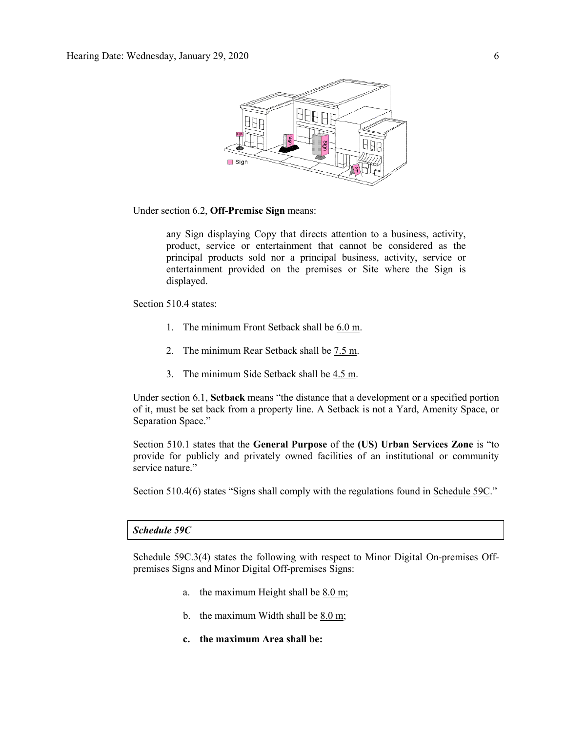

Under section 6.2, **Off-Premise Sign** means:

any Sign displaying Copy that directs attention to a business, activity, product, service or entertainment that cannot be considered as the principal products sold nor a principal business, activity, service or entertainment provided on the premises or Site where the Sign is displayed.

Section 510.4 states:

- 1. The minimum Front Setback shall be [6.0](javascript:void(0);) m.
- 2. The minimum Rear Setback shall be [7.5](javascript:void(0);) m.
- 3. The minimum Side Setback shall be [4.5](javascript:void(0);) m.

Under section 6.1, **Setback** means "the distance that a development or a specified portion of it, must be set back from a property line. A Setback is not a Yard, Amenity Space, or Separation Space."

Section 510.1 states that the **General Purpose** of the **(US) Urban Services Zone** is "to provide for publicly and privately owned facilities of an institutional or community service nature."

Section 510.4(6) states "Signs shall comply with the regulations found in Schedule 59C."

## *Schedule 59C*

Schedule 59C.3(4) states the following with respect to Minor Digital On-premises Offpremises Signs and Minor Digital Off-premises Signs:

- a. the maximum Height shall be [8.0 m;](javascript:void(0);)
- b. the maximum Width shall be [8.0 m;](javascript:void(0);)
- **c. the maximum Area shall be:**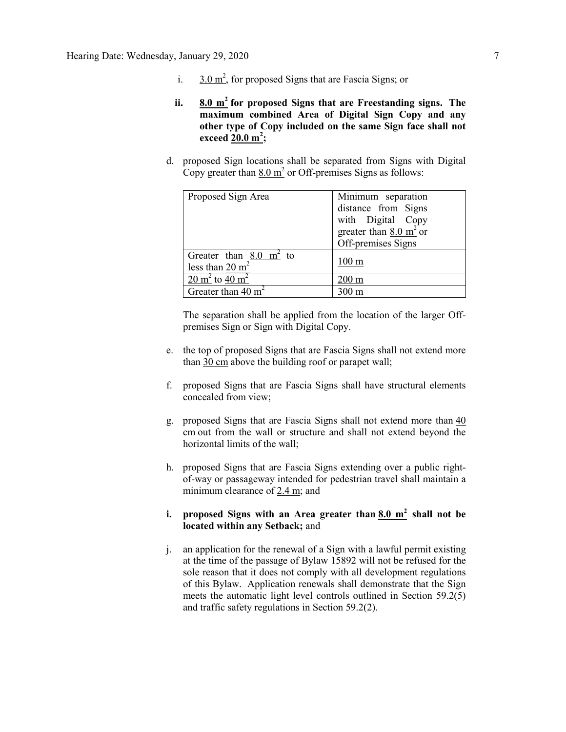- i.  $3.0 \text{ m}^2$ , for proposed Signs that are Fascia Signs; or
- **ii. [8.0](javascript:void(0);) m<sup>2</sup> for proposed Signs that are Freestanding signs. The maximum combined Area of Digital Sign Copy and any other type of Copy included on the same Sign face shall not exceed [20.0 m](javascript:void(0);)<sup>2</sup> ;**
- d. proposed Sign locations shall be separated from Signs with Digital Copy greater than  $8.0 \text{ m}^2$  or Off-premises Signs as follows:

| Proposed Sign Area                                                                 | Minimum separation<br>distance from Signs<br>with Digital Copy<br>greater than $8.0 \text{ m}^2$ or<br>Off-premises Signs |
|------------------------------------------------------------------------------------|---------------------------------------------------------------------------------------------------------------------------|
| Greater than $8.0 \text{ m}^2$ to<br>less than $20 \text{ m}^2$                    | $100 \text{ m}$                                                                                                           |
| $\frac{20 \text{ m}^2}{20 \text{ m}^2}$ to $\frac{40 \text{ m}^2}{20 \text{ m}^2}$ | $200 \text{ m}$                                                                                                           |
| Greater than $40 \text{ m}^2$                                                      | 00 m                                                                                                                      |

The separation shall be applied from the location of the larger Offpremises Sign or Sign with Digital Copy.

- e. the top of proposed Signs that are Fascia Signs shall not extend more than [30 cm](javascript:void(0);) above the building roof or parapet wall;
- f. proposed Signs that are Fascia Signs shall have structural elements concealed from view;
- g. proposed Signs that are Fascia Signs shall not extend more than [40](javascript:void(0);)  [cm](javascript:void(0);) out from the wall or structure and shall not extend beyond the horizontal limits of the wall;
- h. proposed Signs that are Fascia Signs extending over a public rightof-way or passageway intended for pedestrian travel shall maintain a minimum clearance of [2.4 m;](javascript:void(0);) and

## **i. proposed Signs with an Area greater than [8.0 m](javascript:void(0);)<sup>2</sup> shall not be located within any Setback;** and

j. an application for the renewal of a Sign with a lawful permit existing at the time of the passage of Bylaw 15892 will not be refused for the sole reason that it does not comply with all development regulations of this Bylaw. Application renewals shall demonstrate that the Sign meets the automatic light level controls outlined in Section 59.2(5) and traffic safety regulations in Section 59.2(2).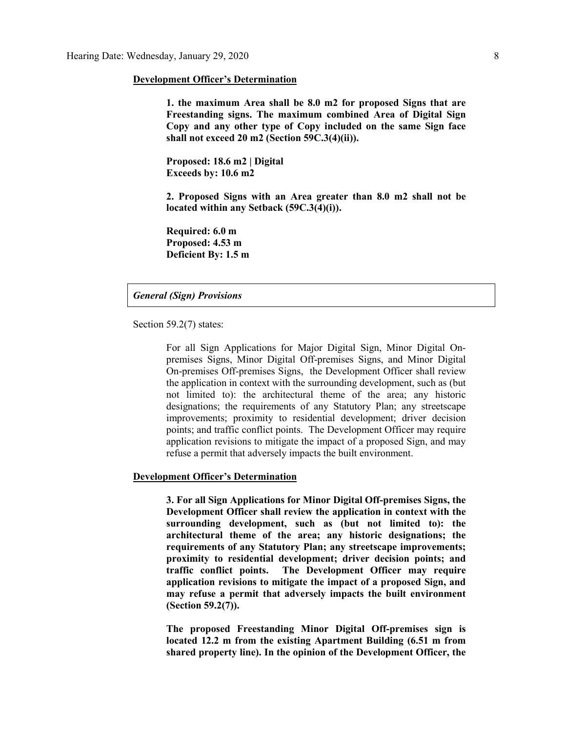#### **Development Officer's Determination**

**1. the maximum Area shall be 8.0 m2 for proposed Signs that are Freestanding signs. The maximum combined Area of Digital Sign Copy and any other type of Copy included on the same Sign face shall not exceed 20 m2 (Section 59C.3(4)(ii)).**

**Proposed: 18.6 m2 | Digital Exceeds by: 10.6 m2**

**2. Proposed Signs with an Area greater than 8.0 m2 shall not be located within any Setback (59C.3(4)(i)).** 

**Required: 6.0 m Proposed: 4.53 m Deficient By: 1.5 m**

## *General (Sign) Provisions*

Section 59.2(7) states:

For all Sign Applications for Major Digital Sign, Minor Digital Onpremises Signs, Minor Digital Off-premises Signs, and Minor Digital On-premises Off-premises Signs, the Development Officer shall review the application in context with the surrounding development, such as (but not limited to): the architectural theme of the area; any historic designations; the requirements of any Statutory Plan; any streetscape improvements; proximity to residential development; driver decision points; and traffic conflict points. The Development Officer may require application revisions to mitigate the impact of a proposed Sign, and may refuse a permit that adversely impacts the built environment.

## **Development Officer's Determination**

**3. For all Sign Applications for Minor Digital Off-premises Signs, the Development Officer shall review the application in context with the surrounding development, such as (but not limited to): the architectural theme of the area; any historic designations; the requirements of any Statutory Plan; any streetscape improvements; proximity to residential development; driver decision points; and traffic conflict points. The Development Officer may require application revisions to mitigate the impact of a proposed Sign, and may refuse a permit that adversely impacts the built environment (Section 59.2(7)).**

**The proposed Freestanding Minor Digital Off-premises sign is located 12.2 m from the existing Apartment Building (6.51 m from shared property line). In the opinion of the Development Officer, the**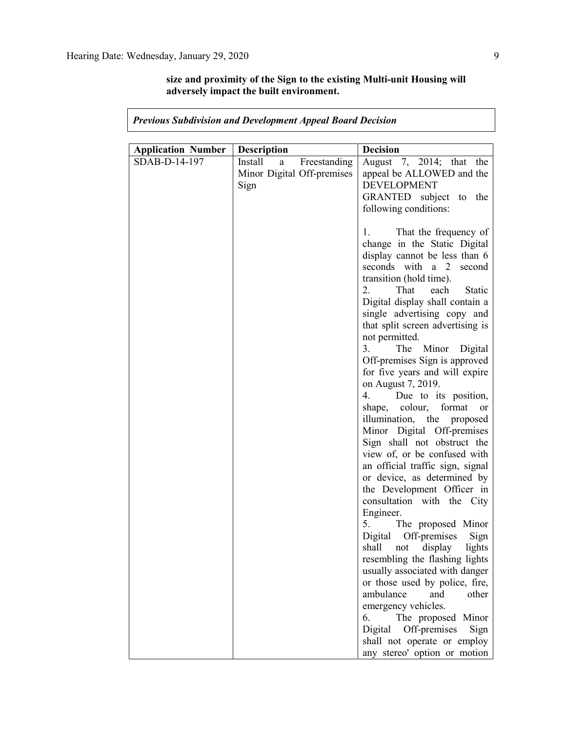**size and proximity of the Sign to the existing Multi-unit Housing will adversely impact the built environment.**

| <b>Application Number</b> | Description                  | <b>Decision</b>                                                |
|---------------------------|------------------------------|----------------------------------------------------------------|
| SDAB-D-14-197             | Install<br>Freestanding<br>a | August 7, 2014; that the                                       |
|                           | Minor Digital Off-premises   | appeal be ALLOWED and the                                      |
|                           | Sign                         | <b>DEVELOPMENT</b>                                             |
|                           |                              | GRANTED subject to the                                         |
|                           |                              | following conditions:                                          |
|                           |                              |                                                                |
|                           |                              | 1. That the frequency of                                       |
|                           |                              | change in the Static Digital                                   |
|                           |                              | display cannot be less than 6                                  |
|                           |                              | seconds with a 2 second                                        |
|                           |                              | transition (hold time).                                        |
|                           |                              | $2_{-}$<br>That<br>each<br><b>Static</b>                       |
|                           |                              | Digital display shall contain a                                |
|                           |                              | single advertising copy and                                    |
|                           |                              | that split screen advertising is                               |
|                           |                              | not permitted.<br>3.<br>The Minor Digital                      |
|                           |                              | Off-premises Sign is approved                                  |
|                           |                              | for five years and will expire                                 |
|                           |                              | on August 7, 2019.                                             |
|                           |                              | 4.<br>Due to its position,                                     |
|                           |                              | shape, colour,<br>format<br><sub>or</sub>                      |
|                           |                              | illumination, the proposed                                     |
|                           |                              | Minor Digital Off-premises                                     |
|                           |                              | Sign shall not obstruct the                                    |
|                           |                              | view of, or be confused with                                   |
|                           |                              | an official traffic sign, signal                               |
|                           |                              | or device, as determined by                                    |
|                           |                              | the Development Officer in                                     |
|                           |                              | consultation with the City                                     |
|                           |                              | Engineer.                                                      |
|                           |                              | 5. The proposed Minor                                          |
|                           |                              | Digital Off-premises<br>Sign                                   |
|                           |                              | shall<br>display<br>lights<br>not                              |
|                           |                              | resembling the flashing lights                                 |
|                           |                              | usually associated with danger                                 |
|                           |                              | or those used by police, fire,                                 |
|                           |                              | ambulance<br>and<br>other                                      |
|                           |                              | emergency vehicles.                                            |
|                           |                              | The proposed Minor<br>6.                                       |
|                           |                              | Off-premises<br>Digital<br>Sign<br>shall not operate or employ |
|                           |                              | any stereo' option or motion                                   |
|                           |                              |                                                                |

## *Previous Subdivision and Development Appeal Board Decision*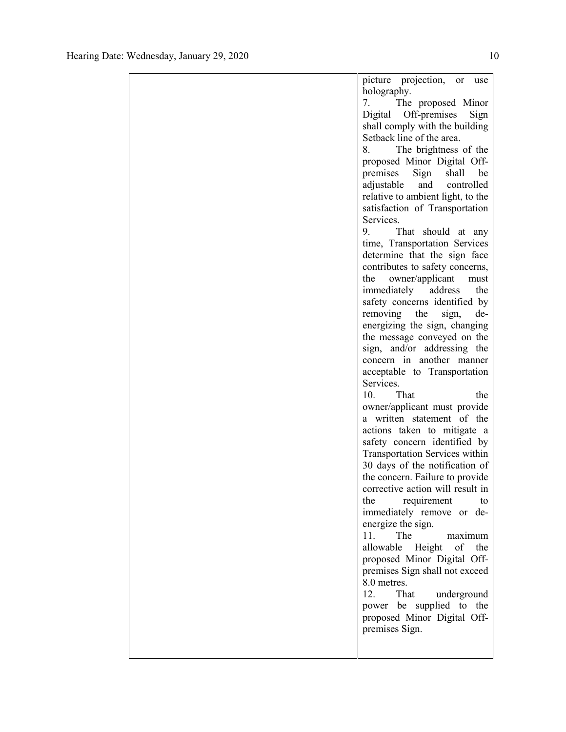|  | picture projection, or<br>use<br>holography. |
|--|----------------------------------------------|
|  | The proposed Minor<br>7.                     |
|  | Digital Off-premises<br>Sign                 |
|  | shall comply with the building               |
|  | Setback line of the area.                    |
|  | 8.<br>The brightness of the                  |
|  | proposed Minor Digital Off-                  |
|  | premises Sign<br>shall<br>be                 |
|  | adjustable<br>controlled<br>and              |
|  | relative to ambient light, to the            |
|  | satisfaction of Transportation               |
|  | Services.                                    |
|  | That should at any<br>9.                     |
|  | time, Transportation Services                |
|  | determine that the sign face                 |
|  | contributes to safety concerns,              |
|  | owner/applicant<br>the<br>must               |
|  | immediately<br>address<br>the                |
|  | safety concerns identified by                |
|  | removing<br>the<br>sign,<br>de-              |
|  | energizing the sign, changing                |
|  | the message conveyed on the                  |
|  | sign, and/or addressing the                  |
|  | concern in another manner                    |
|  | acceptable to Transportation<br>Services.    |
|  | 10.<br>That<br>the                           |
|  | owner/applicant must provide                 |
|  | a written statement of the                   |
|  | actions taken to mitigate a                  |
|  | safety concern identified by                 |
|  | <b>Transportation Services within</b>        |
|  | 30 days of the notification of               |
|  | the concern. Failure to provide              |
|  | corrective action will result in             |
|  | requirement<br>the<br>to                     |
|  | immediately remove or de-                    |
|  | energize the sign.                           |
|  | 11.<br>The<br>maximum                        |
|  | allowable<br>Height<br>of<br>the             |
|  | proposed Minor Digital Off-                  |
|  | premises Sign shall not exceed               |
|  | 8.0 metres.                                  |
|  | 12.<br>That underground                      |
|  | power be supplied to the                     |
|  | proposed Minor Digital Off-                  |
|  | premises Sign.                               |
|  |                                              |
|  |                                              |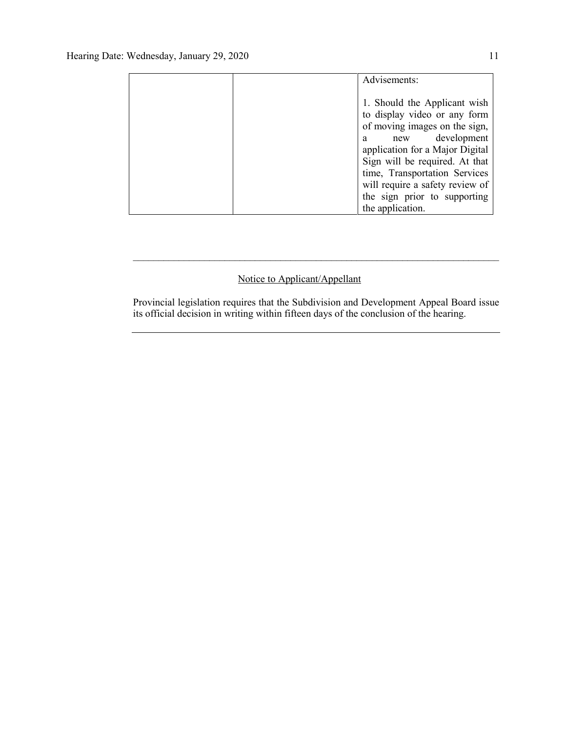| Advisements:                                                                                                     |
|------------------------------------------------------------------------------------------------------------------|
| 1. Should the Applicant wish<br>to display video or any form<br>of moving images on the sign,<br>new development |
| a<br>application for a Major Digital                                                                             |
| Sign will be required. At that<br>time, Transportation Services                                                  |
| will require a safety review of                                                                                  |
| the sign prior to supporting<br>the application.                                                                 |

## Notice to Applicant/Appellant

Provincial legislation requires that the Subdivision and Development Appeal Board issue its official decision in writing within fifteen days of the conclusion of the hearing.

 $\mathcal{L}_\text{max} = \mathcal{L}_\text{max} = \mathcal{L}_\text{max} = \mathcal{L}_\text{max} = \mathcal{L}_\text{max} = \mathcal{L}_\text{max} = \mathcal{L}_\text{max} = \mathcal{L}_\text{max} = \mathcal{L}_\text{max} = \mathcal{L}_\text{max} = \mathcal{L}_\text{max} = \mathcal{L}_\text{max} = \mathcal{L}_\text{max} = \mathcal{L}_\text{max} = \mathcal{L}_\text{max} = \mathcal{L}_\text{max} = \mathcal{L}_\text{max} = \mathcal{L}_\text{max} = \mathcal{$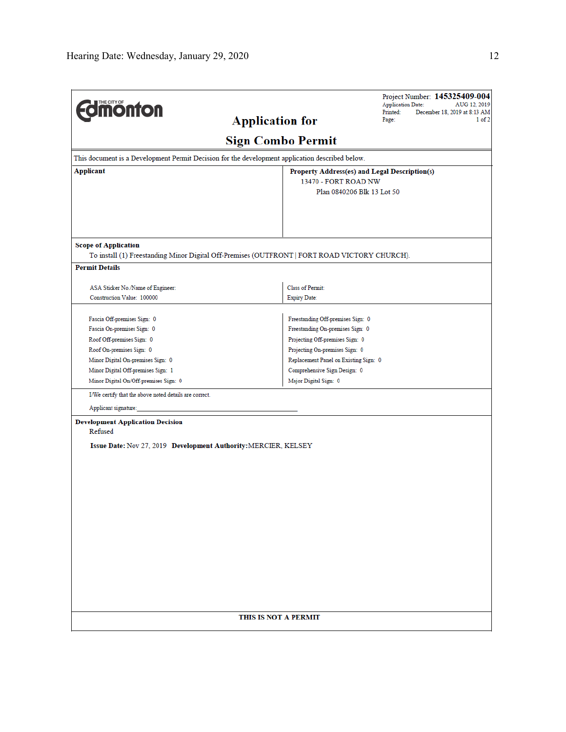| <b>Edmonton</b>                                                                                 | <b>Application for</b>                                                                        | Project Number: 145325409-004<br><b>Application Date:</b><br>AUG 12, 2019<br>Printed:<br>December 18, 2019 at 8:13 AM<br>$1$ of $2$<br>Page: |  |  |  |
|-------------------------------------------------------------------------------------------------|-----------------------------------------------------------------------------------------------|----------------------------------------------------------------------------------------------------------------------------------------------|--|--|--|
|                                                                                                 | <b>Sign Combo Permit</b>                                                                      |                                                                                                                                              |  |  |  |
| This document is a Development Permit Decision for the development application described below. |                                                                                               |                                                                                                                                              |  |  |  |
| Applicant<br>Property Address(es) and Legal Description(s)                                      |                                                                                               |                                                                                                                                              |  |  |  |
|                                                                                                 |                                                                                               | 13470 - FORT ROAD NW<br>Plan 0840206 Blk 13 Lot 50                                                                                           |  |  |  |
|                                                                                                 |                                                                                               |                                                                                                                                              |  |  |  |
|                                                                                                 |                                                                                               |                                                                                                                                              |  |  |  |
| <b>Scope of Application</b>                                                                     | To install (1) Freestanding Minor Digital Off-Premises (OUTFRONT   FORT ROAD VICTORY CHURCH). |                                                                                                                                              |  |  |  |
| <b>Permit Details</b>                                                                           |                                                                                               |                                                                                                                                              |  |  |  |
| ASA Sticker No./Name of Engineer:                                                               | Class of Permit:                                                                              |                                                                                                                                              |  |  |  |
| Construction Value: 100000                                                                      | <b>Expiry Date:</b>                                                                           |                                                                                                                                              |  |  |  |
| Fascia Off-premises Sign: 0                                                                     | Freestanding Off-premises Sign: 0                                                             |                                                                                                                                              |  |  |  |
| Fascia On-premises Sign: 0                                                                      | Freestanding On-premises Sign: 0                                                              |                                                                                                                                              |  |  |  |
| Roof Off-premises Sign: 0                                                                       | Projecting Off-premises Sign: 0                                                               |                                                                                                                                              |  |  |  |
| Roof On-premises Sign: 0                                                                        |                                                                                               | Projecting On-premises Sign: 0                                                                                                               |  |  |  |
| Minor Digital On-premises Sign: 0                                                               |                                                                                               | Replacement Panel on Existing Sign: 0                                                                                                        |  |  |  |
| Minor Digital Off-premises Sign: 1                                                              |                                                                                               | Comprehensive Sign Design: 0                                                                                                                 |  |  |  |
| Minor Digital On/Off-premises Sign: 0                                                           | Major Digital Sign: 0                                                                         |                                                                                                                                              |  |  |  |
| I/We certify that the above noted details are correct.                                          |                                                                                               |                                                                                                                                              |  |  |  |
| Applicant signature:                                                                            |                                                                                               |                                                                                                                                              |  |  |  |
| <b>Development Application Decision</b>                                                         |                                                                                               |                                                                                                                                              |  |  |  |
| Refused                                                                                         |                                                                                               |                                                                                                                                              |  |  |  |
| Issue Date: Nov 27, 2019 Development Authority: MERCIER, KELSEY                                 |                                                                                               |                                                                                                                                              |  |  |  |
|                                                                                                 |                                                                                               |                                                                                                                                              |  |  |  |
|                                                                                                 |                                                                                               |                                                                                                                                              |  |  |  |
|                                                                                                 |                                                                                               |                                                                                                                                              |  |  |  |
|                                                                                                 |                                                                                               |                                                                                                                                              |  |  |  |
|                                                                                                 |                                                                                               |                                                                                                                                              |  |  |  |
|                                                                                                 |                                                                                               |                                                                                                                                              |  |  |  |
|                                                                                                 |                                                                                               |                                                                                                                                              |  |  |  |
|                                                                                                 |                                                                                               |                                                                                                                                              |  |  |  |
|                                                                                                 |                                                                                               |                                                                                                                                              |  |  |  |
|                                                                                                 |                                                                                               |                                                                                                                                              |  |  |  |
|                                                                                                 |                                                                                               |                                                                                                                                              |  |  |  |
|                                                                                                 |                                                                                               |                                                                                                                                              |  |  |  |
|                                                                                                 |                                                                                               |                                                                                                                                              |  |  |  |
|                                                                                                 |                                                                                               |                                                                                                                                              |  |  |  |
|                                                                                                 |                                                                                               |                                                                                                                                              |  |  |  |
|                                                                                                 | THIS IS NOT A PERMIT                                                                          |                                                                                                                                              |  |  |  |
|                                                                                                 |                                                                                               |                                                                                                                                              |  |  |  |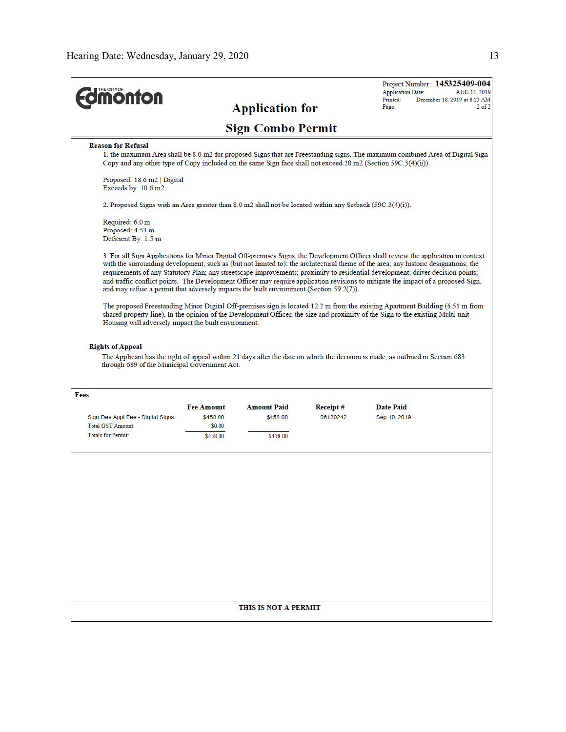| <b>ionton</b>                                                                                                                                                                                                                                                                                                                                                                                                                                                                                                                                                                                                                                |                    |                          |          | <b>Application Date:</b><br>Printed: | Project Number: 145325409-004<br>AUG 12, 2019<br>December 18, 2019 at 8:13 AM |
|----------------------------------------------------------------------------------------------------------------------------------------------------------------------------------------------------------------------------------------------------------------------------------------------------------------------------------------------------------------------------------------------------------------------------------------------------------------------------------------------------------------------------------------------------------------------------------------------------------------------------------------------|--------------------|--------------------------|----------|--------------------------------------|-------------------------------------------------------------------------------|
|                                                                                                                                                                                                                                                                                                                                                                                                                                                                                                                                                                                                                                              |                    | <b>Application for</b>   |          | Page:                                | $2$ of $2$                                                                    |
|                                                                                                                                                                                                                                                                                                                                                                                                                                                                                                                                                                                                                                              |                    | <b>Sign Combo Permit</b> |          |                                      |                                                                               |
| <b>Reason for Refusal</b>                                                                                                                                                                                                                                                                                                                                                                                                                                                                                                                                                                                                                    |                    |                          |          |                                      |                                                                               |
| 1. the maximum Area shall be 8.0 m2 for proposed Signs that are Freestanding signs. The maximum combined Area of Digital Sign<br>Copy and any other type of Copy included on the same Sign face shall not exceed 20 m2 (Section 59C.3(4)(ii)).                                                                                                                                                                                                                                                                                                                                                                                               |                    |                          |          |                                      |                                                                               |
| Proposed: 18.6 m2   Digital<br>Exceeds by: 10.6 m2                                                                                                                                                                                                                                                                                                                                                                                                                                                                                                                                                                                           |                    |                          |          |                                      |                                                                               |
| 2. Proposed Signs with an Area greater than 8.0 m2 shall not be located within any Setback (59C.3(4)(i)).                                                                                                                                                                                                                                                                                                                                                                                                                                                                                                                                    |                    |                          |          |                                      |                                                                               |
| Required: 6.0 m<br>Proposed: 4.53 m<br>Deficient By: 1.5 m                                                                                                                                                                                                                                                                                                                                                                                                                                                                                                                                                                                   |                    |                          |          |                                      |                                                                               |
| 3. For all Sign Applications for Minor Digital Off-premises Signs, the Development Officer shall review the application in context<br>with the surrounding development, such as (but not limited to): the architectural theme of the area; any historic designations; the<br>requirements of any Statutory Plan; any streetscape improvements; proximity to residential development; driver decision points;<br>and traffic conflict points. The Development Officer may require application revisions to mitigate the impact of a proposed Sign,<br>and may refuse a permit that adversely impacts the built environment (Section 59.2(7)). |                    |                          |          |                                      |                                                                               |
| The proposed Freestanding Minor Digital Off-premises sign is located 12.2 m from the existing Apartment Building (6.51 m from<br>shared property line). In the opinion of the Development Officer, the size and proximity of the Sign to the existing Multi-unit<br>Housing will adversely impact the built environment.                                                                                                                                                                                                                                                                                                                     |                    |                          |          |                                      |                                                                               |
| <b>Rights of Appeal</b><br>The Applicant has the right of appeal within 21 days after the date on which the decision is made, as outlined in Section 683<br>through 689 of the Municipal Government Act.                                                                                                                                                                                                                                                                                                                                                                                                                                     |                    |                          |          |                                      |                                                                               |
| Fees                                                                                                                                                                                                                                                                                                                                                                                                                                                                                                                                                                                                                                         |                    |                          |          |                                      |                                                                               |
|                                                                                                                                                                                                                                                                                                                                                                                                                                                                                                                                                                                                                                              | <b>Fee Amount</b>  | <b>Amount Paid</b>       | Receipt# | <b>Date Paid</b>                     |                                                                               |
| Sign Dev Appl Fee - Digital Signs<br><b>Total GST Amount:</b>                                                                                                                                                                                                                                                                                                                                                                                                                                                                                                                                                                                | \$458.00           | \$458.00                 | 06130242 | Sep 10, 2019                         |                                                                               |
| <b>Totals for Permit:</b>                                                                                                                                                                                                                                                                                                                                                                                                                                                                                                                                                                                                                    | \$0.00<br>\$458.00 | \$458.00                 |          |                                      |                                                                               |
|                                                                                                                                                                                                                                                                                                                                                                                                                                                                                                                                                                                                                                              |                    |                          |          |                                      |                                                                               |
|                                                                                                                                                                                                                                                                                                                                                                                                                                                                                                                                                                                                                                              |                    | THIS IS NOT A PERMIT     |          |                                      |                                                                               |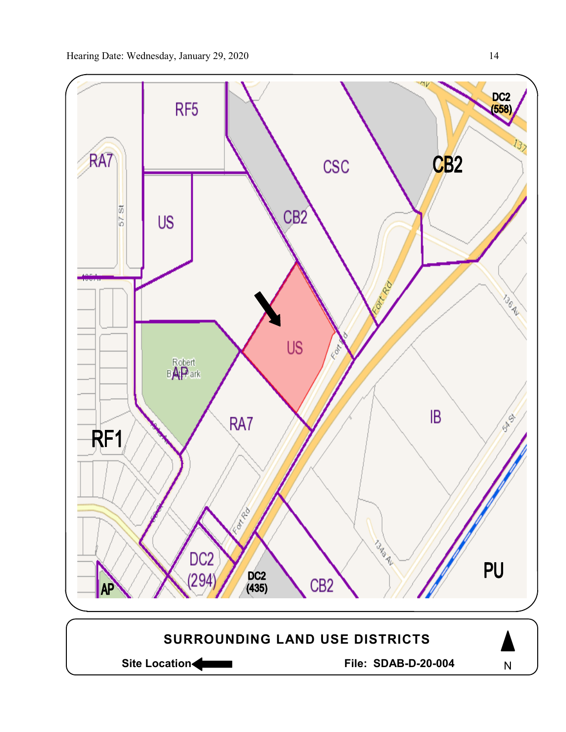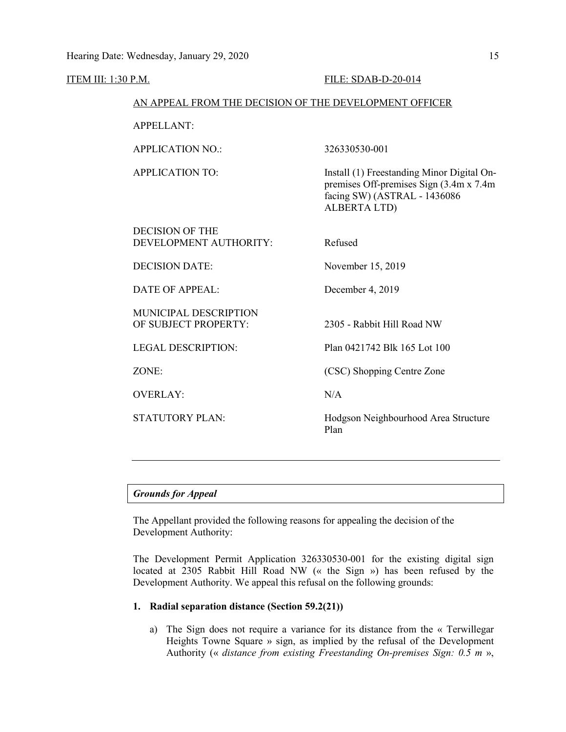# ITEM III: 1:30 P.M. FILE: SDAB-D-20-014 AN APPEAL FROM THE DECISION OF THE DEVELOPMENT OFFICER APPELLANT: APPLICATION NO.: 326330530-001 APPLICATION TO: Install (1) Freestanding Minor Digital Onpremises Off-premises Sign (3.4m x 7.4m facing SW) (ASTRAL - 1436086 ALBERTA LTD) DECISION OF THE DEVELOPMENT AUTHORITY: Refused DECISION DATE: November 15, 2019 DATE OF APPEAL: December 4, 2019 MUNICIPAL DESCRIPTION OF SUBJECT PROPERTY: 2305 - Rabbit Hill Road NW LEGAL DESCRIPTION: Plan 0421742 Blk 165 Lot 100 ZONE: (CSC) Shopping Centre Zone OVERLAY: N/A STATUTORY PLAN: Hodgson Neighbourhood Area Structure Plan

## *Grounds for Appeal*

The Appellant provided the following reasons for appealing the decision of the Development Authority:

The Development Permit Application 326330530-001 for the existing digital sign located at 2305 Rabbit Hill Road NW (« the Sign ») has been refused by the Development Authority. We appeal this refusal on the following grounds:

## **1. Radial separation distance (Section 59.2(21))**

a) The Sign does not require a variance for its distance from the « Terwillegar Heights Towne Square » sign, as implied by the refusal of the Development Authority (« *distance from existing Freestanding On-premises Sign: 0.5 m* »,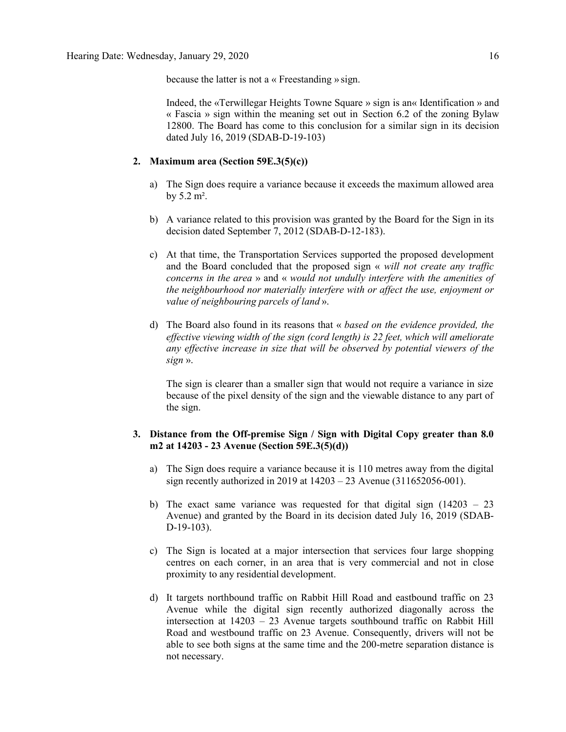because the latter is not a « Freestanding » sign.

Indeed, the «Terwillegar Heights Towne Square » sign is an« Identification » and « Fascia » sign within the meaning set out in Section 6.2 of the zoning Bylaw 12800. The Board has come to this conclusion for a similar sign in its decision dated July 16, 2019 (SDAB-D-19-103)

### **2. Maximum area (Section 59E.3(5)(c))**

- a) The Sign does require a variance because it exceeds the maximum allowed area by  $5.2 \text{ m}^2$ .
- b) A variance related to this provision was granted by the Board for the Sign in its decision dated September 7, 2012 (SDAB-D-12-183).
- c) At that time, the Transportation Services supported the proposed development and the Board concluded that the proposed sign « *will not create any traffic concerns in the area* » and « *would not undully interfere with the amenities of the neighbourhood nor materially interfere with or affect the use, enjoyment or value of neighbouring parcels of land* ».
- d) The Board also found in its reasons that « *based on the evidence provided, the effective viewing width of the sign (cord length) is 22 feet, which will ameliorate any effective increase in size that will be observed by potential viewers of the sign* ».

The sign is clearer than a smaller sign that would not require a variance in size because of the pixel density of the sign and the viewable distance to any part of the sign.

## **3. Distance from the Off-premise Sign / Sign with Digital Copy greater than 8.0 m2 at 14203 - 23 Avenue (Section 59E.3(5)(d))**

- a) The Sign does require a variance because it is 110 metres away from the digital sign recently authorized in 2019 at 14203 – 23 Avenue (311652056-001).
- b) The exact same variance was requested for that digital sign (14203 23 Avenue) and granted by the Board in its decision dated July 16, 2019 (SDAB-D-19-103).
- c) The Sign is located at a major intersection that services four large shopping centres on each corner, in an area that is very commercial and not in close proximity to any residential development.
- d) It targets northbound traffic on Rabbit Hill Road and eastbound traffic on 23 Avenue while the digital sign recently authorized diagonally across the intersection at 14203 – 23 Avenue targets southbound traffic on Rabbit Hill Road and westbound traffic on 23 Avenue. Consequently, drivers will not be able to see both signs at the same time and the 200-metre separation distance is not necessary.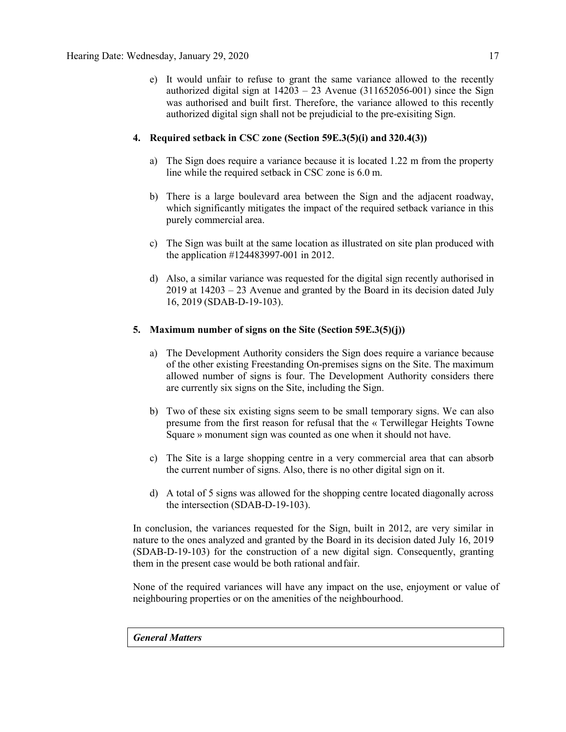e) It would unfair to refuse to grant the same variance allowed to the recently authorized digital sign at  $14203 - 23$  Avenue (311652056-001) since the Sign was authorised and built first. Therefore, the variance allowed to this recently authorized digital sign shall not be prejudicial to the pre-exisiting Sign.

## **4. Required setback in CSC zone (Section 59E.3(5)(i) and 320.4(3))**

- a) The Sign does require a variance because it is located 1.22 m from the property line while the required setback in CSC zone is 6.0 m.
- b) There is a large boulevard area between the Sign and the adjacent roadway, which significantly mitigates the impact of the required setback variance in this purely commercial area.
- c) The Sign was built at the same location as illustrated on site plan produced with the application #124483997-001 in 2012.
- d) Also, a similar variance was requested for the digital sign recently authorised in 2019 at 14203 – 23 Avenue and granted by the Board in its decision dated July 16, 2019 (SDAB-D-19-103).

## **5. Maximum number of signs on the Site (Section 59E.3(5)(j))**

- a) The Development Authority considers the Sign does require a variance because of the other existing Freestanding On-premises signs on the Site. The maximum allowed number of signs is four. The Development Authority considers there are currently six signs on the Site, including the Sign.
- b) Two of these six existing signs seem to be small temporary signs. We can also presume from the first reason for refusal that the « Terwillegar Heights Towne Square » monument sign was counted as one when it should not have.
- c) The Site is a large shopping centre in a very commercial area that can absorb the current number of signs. Also, there is no other digital sign on it.
- d) A total of 5 signs was allowed for the shopping centre located diagonally across the intersection (SDAB-D-19-103).

In conclusion, the variances requested for the Sign, built in 2012, are very similar in nature to the ones analyzed and granted by the Board in its decision dated July 16, 2019 (SDAB-D-19-103) for the construction of a new digital sign. Consequently, granting them in the present case would be both rational andfair.

None of the required variances will have any impact on the use, enjoyment or value of neighbouring properties or on the amenities of the neighbourhood.

## *General Matters*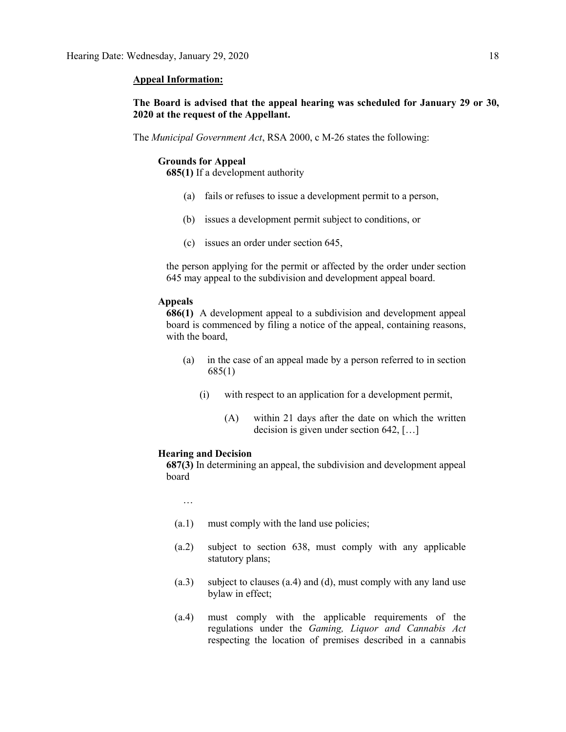#### **Appeal Information:**

## **The Board is advised that the appeal hearing was scheduled for January 29 or 30, 2020 at the request of the Appellant.**

The *Municipal Government Act*, RSA 2000, c M-26 states the following:

#### **Grounds for Appeal**

**685(1)** If a development authority

- (a) fails or refuses to issue a development permit to a person,
- (b) issues a development permit subject to conditions, or
- (c) issues an order under section 645,

the person applying for the permit or affected by the order under section 645 may appeal to the subdivision and development appeal board.

## **Appeals**

**686(1)** A development appeal to a subdivision and development appeal board is commenced by filing a notice of the appeal, containing reasons, with the board,

- (a) in the case of an appeal made by a person referred to in section 685(1)
	- (i) with respect to an application for a development permit,
		- (A) within 21 days after the date on which the written decision is given under section 642, […]

#### **Hearing and Decision**

**687(3)** In determining an appeal, the subdivision and development appeal board

…

- (a.1) must comply with the land use policies;
- (a.2) subject to section 638, must comply with any applicable statutory plans;
- (a.3) subject to clauses (a.4) and (d), must comply with any land use bylaw in effect;
- (a.4) must comply with the applicable requirements of the regulations under the *Gaming, Liquor and Cannabis Act* respecting the location of premises described in a cannabis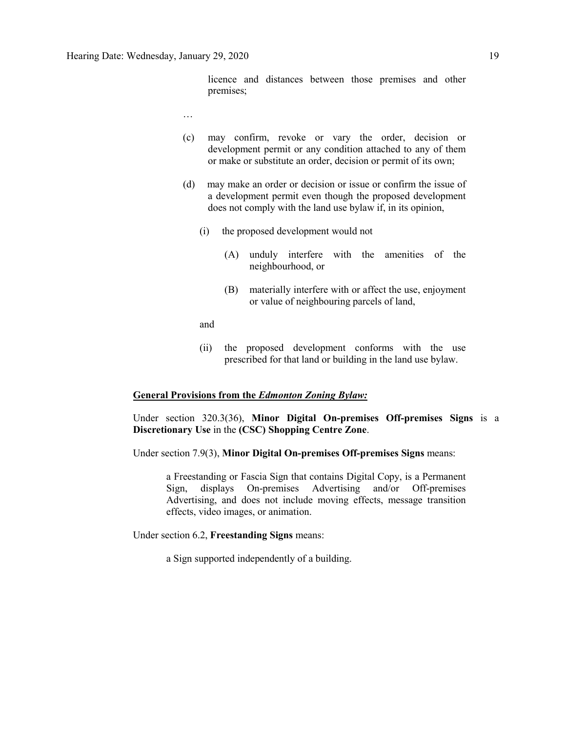licence and distances between those premises and other premises;

- …
- (c) may confirm, revoke or vary the order, decision or development permit or any condition attached to any of them or make or substitute an order, decision or permit of its own;
- (d) may make an order or decision or issue or confirm the issue of a development permit even though the proposed development does not comply with the land use bylaw if, in its opinion,
	- (i) the proposed development would not
		- (A) unduly interfere with the amenities of the neighbourhood, or
		- (B) materially interfere with or affect the use, enjoyment or value of neighbouring parcels of land,

and

(ii) the proposed development conforms with the use prescribed for that land or building in the land use bylaw.

### **General Provisions from the** *Edmonton Zoning Bylaw:*

Under section 320.3(36), **Minor Digital On-premises Off-premises Signs** is a **Discretionary Use** in the **(CSC) Shopping Centre Zone**.

Under section 7.9(3), **Minor Digital On-premises Off-premises Signs** means:

a Freestanding or Fascia Sign that contains Digital Copy, is a Permanent Sign, displays On-premises Advertising and/or Off-premises Advertising, and does not include moving effects, message transition effects, video images, or animation.

Under section 6.2, **Freestanding Signs** means:

a Sign supported independently of a building.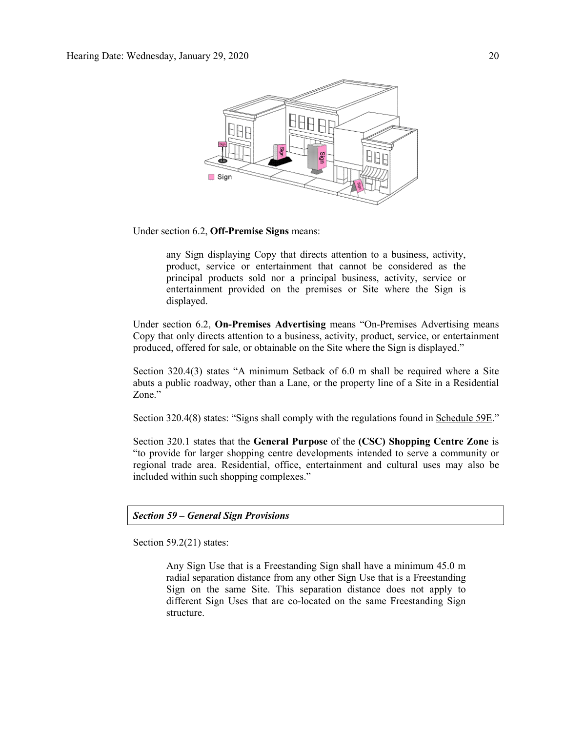

Under section 6.2, **Off-Premise Signs** means:

any Sign displaying Copy that directs attention to a business, activity, product, service or entertainment that cannot be considered as the principal products sold nor a principal business, activity, service or entertainment provided on the premises or Site where the Sign is displayed.

Under section 6.2, **On-Premises Advertising** means "On-Premises Advertising means Copy that only directs attention to a business, activity, product, service, or entertainment produced, offered for sale, or obtainable on the Site where the Sign is displayed."

Section 320.4(3) states "A minimum Setback of 6.0 m shall be required where a Site abuts a public roadway, other than a Lane, or the property line of a Site in a Residential Zone."

Section 320.4(8) states: "Signs shall comply with the regulations found in Schedule 59E."

Section 320.1 states that the **General Purpose** of the **(CSC) Shopping Centre Zone** is "to provide for larger shopping centre developments intended to serve a community or regional trade area. Residential, office, entertainment and cultural uses may also be included within such shopping complexes."

## *Section 59 – General Sign Provisions*

Section 59.2(21) states:

Any Sign Use that is a Freestanding Sign shall have a minimum 45.0 m radial separation distance from any other Sign Use that is a Freestanding Sign on the same Site. This separation distance does not apply to different Sign Uses that are co-located on the same Freestanding Sign structure.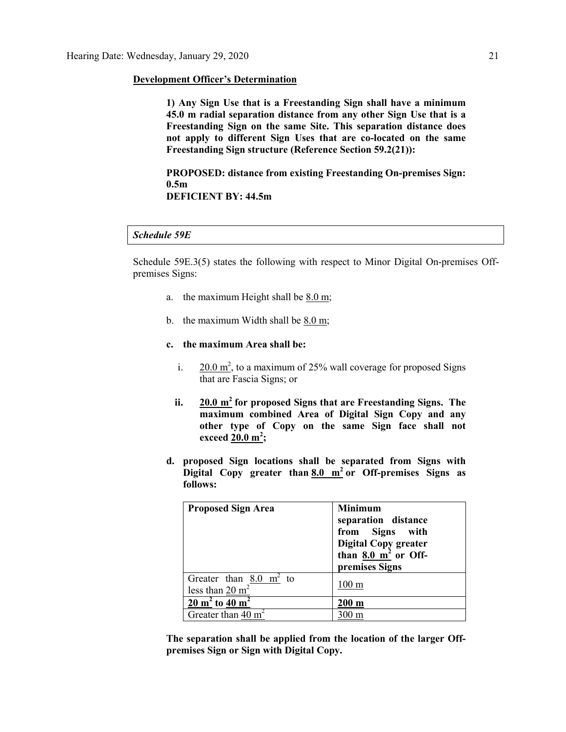## **Development Officer's Determination**

**1) Any Sign Use that is a Freestanding Sign shall have a minimum 45.0 m radial separation distance from any other Sign Use that is a Freestanding Sign on the same Site. This separation distance does not apply to different Sign Uses that are co-located on the same Freestanding Sign structure (Reference Section 59.2(21)):** 

**PROPOSED: distance from existing Freestanding On-premises Sign: 0.5m DEFICIENT BY: 44.5m**

## *Schedule 59E*

Schedule 59E.3(5) states the following with respect to Minor Digital On-premises Offpremises Signs:

- a. the maximum Height shall be [8.0 m;](javascript:void(0);)
- b. the maximum Width shall be  $8.0 \text{ m}$ ;
- **c. the maximum Area shall be:**
	- i.  $20.0 \text{ m}^2$ , to a maximum of 25% wall coverage for proposed Signs that are Fascia Signs; or
	- **ii. [20.0 m](javascript:void(0);)<sup>2</sup> for proposed Signs that are Freestanding Signs. The maximum combined Area of Digital Sign Copy and any other type of Copy on the same Sign face shall not exceed [20.0 m](javascript:void(0);)<sup>2</sup> ;**
- **d. proposed Sign locations shall be separated from Signs with Digital Copy greater than [8.0 m](javascript:void(0);)<sup>2</sup> or Off-premises Signs as follows:**

| <b>Proposed Sign Area</b>                                       | <b>Minimum</b><br>separation distance<br>from Signs with<br><b>Digital Copy greater</b><br>than $8.0 \frac{\text{m}^2}{\text{m}^2}$ or Off-<br>premises Signs |
|-----------------------------------------------------------------|---------------------------------------------------------------------------------------------------------------------------------------------------------------|
| Greater than $8.0 \text{ m}^2$ to<br>less than $20 \text{ m}^2$ | 100 <sub>m</sub>                                                                                                                                              |
| $\frac{20 \text{ m}^2}{20 \text{ m}^2}$ to 40 m <sup>2</sup>    | $200 \text{ m}$                                                                                                                                               |
| Greater than 40 $m2$                                            | )() m                                                                                                                                                         |

**The separation shall be applied from the location of the larger Offpremises Sign or Sign with Digital Copy.**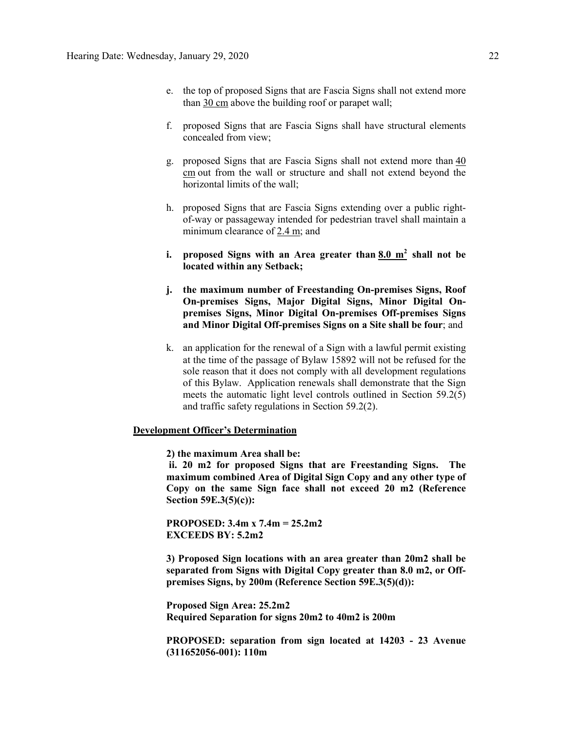- e. the top of proposed Signs that are Fascia Signs shall not extend more than [30 cm](javascript:void(0);) above the building roof or parapet wall;
- f. proposed Signs that are Fascia Signs shall have structural elements concealed from view;
- g. proposed Signs that are Fascia Signs shall not extend more than [40](javascript:void(0);)  [cm](javascript:void(0);) out from the wall or structure and shall not extend beyond the horizontal limits of the wall;
- h. proposed Signs that are Fascia Signs extending over a public rightof-way or passageway intended for pedestrian travel shall maintain a minimum clearance of [2.4 m;](javascript:void(0);) and
- **i. proposed Signs with an Area greater than [8.0 m](javascript:void(0);)<sup>2</sup> shall not be located within any Setback;**
- **j. the maximum number of Freestanding On-premises Signs, Roof On-premises Signs, Major Digital Signs, Minor Digital Onpremises Signs, Minor Digital On-premises Off-premises Signs and Minor Digital Off-premises Signs on a Site shall be four**; and
- k. an application for the renewal of a Sign with a lawful permit existing at the time of the passage of Bylaw 15892 will not be refused for the sole reason that it does not comply with all development regulations of this Bylaw. Application renewals shall demonstrate that the Sign meets the automatic light level controls outlined in Section 59.2(5) and traffic safety regulations in Section 59.2(2).

## **Development Officer's Determination**

**2) the maximum Area shall be:**

**ii. 20 m2 for proposed Signs that are Freestanding Signs. The maximum combined Area of Digital Sign Copy and any other type of Copy on the same Sign face shall not exceed 20 m2 (Reference Section 59E.3(5)(c)):**

**PROPOSED: 3.4m x 7.4m = 25.2m2 EXCEEDS BY: 5.2m2** 

**3) Proposed Sign locations with an area greater than 20m2 shall be separated from Signs with Digital Copy greater than 8.0 m2, or Offpremises Signs, by 200m (Reference Section 59E.3(5)(d)):**

**Proposed Sign Area: 25.2m2 Required Separation for signs 20m2 to 40m2 is 200m**

**PROPOSED: separation from sign located at 14203 - 23 Avenue (311652056-001): 110m**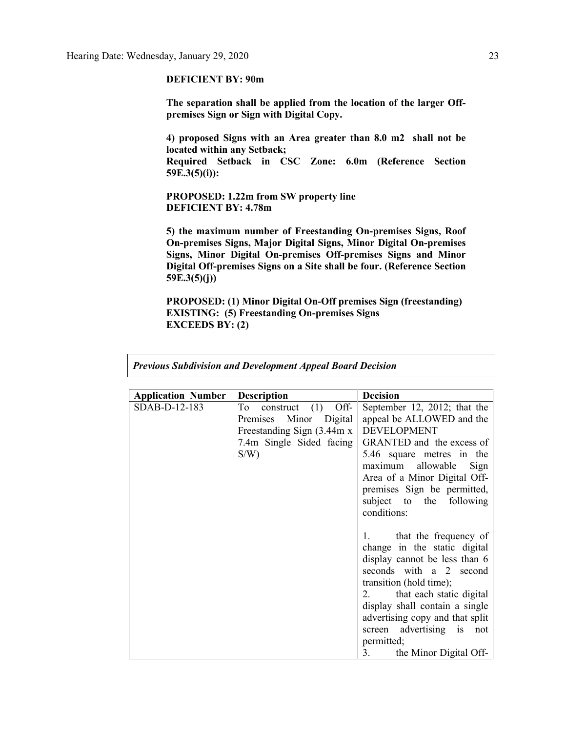## **DEFICIENT BY: 90m**

**The separation shall be applied from the location of the larger Offpremises Sign or Sign with Digital Copy.**

**4) proposed Signs with an Area greater than 8.0 m2 shall not be located within any Setback;**

**Required Setback in CSC Zone: 6.0m (Reference Section 59E.3(5)(i)):**

**PROPOSED: 1.22m from SW property line DEFICIENT BY: 4.78m**

**5) the maximum number of Freestanding On-premises Signs, Roof On-premises Signs, Major Digital Signs, Minor Digital On-premises Signs, Minor Digital On-premises Off-premises Signs and Minor Digital Off-premises Signs on a Site shall be four. (Reference Section 59E.3(5)(j))**

**PROPOSED: (1) Minor Digital On-Off premises Sign (freestanding) EXISTING: (5) Freestanding On-premises Signs EXCEEDS BY: (2)**

| <b>Application Number</b> | <b>Description</b>                                                                                                     | <b>Decision</b>                                                                                                                                                                                                                                                                                                                  |
|---------------------------|------------------------------------------------------------------------------------------------------------------------|----------------------------------------------------------------------------------------------------------------------------------------------------------------------------------------------------------------------------------------------------------------------------------------------------------------------------------|
| SDAB-D-12-183             | construct $(1)$ Off-<br>To<br>Premises Minor Digital<br>Freestanding Sign (3.44m x)<br>7.4m Single Sided facing<br>S/W | September 12, 2012; that the<br>appeal be ALLOWED and the<br><b>DEVELOPMENT</b><br>GRANTED and the excess of<br>5.46 square metres in the<br>maximum allowable<br>Sign<br>Area of a Minor Digital Off-<br>premises Sign be permitted,<br>subject to the following<br>conditions:                                                 |
|                           |                                                                                                                        | that the frequency of<br>1.77<br>change in the static digital<br>display cannot be less than 6<br>seconds with a 2 second<br>transition (hold time);<br>2. that each static digital<br>display shall contain a single<br>advertising copy and that split<br>screen advertising is not<br>permitted;<br>3. the Minor Digital Off- |

*Previous Subdivision and Development Appeal Board Decision*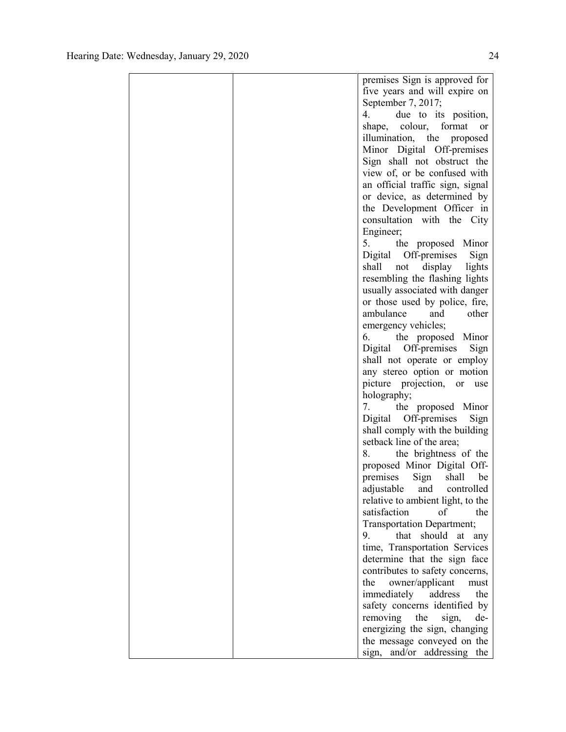|  | premises Sign is approved for     |
|--|-----------------------------------|
|  | five years and will expire on     |
|  | September 7, 2017;                |
|  | 4.<br>due to its position,        |
|  | shape, colour, format<br>or       |
|  | illumination, the proposed        |
|  | Minor Digital Off-premises        |
|  | Sign shall not obstruct the       |
|  | view of, or be confused with      |
|  | an official traffic sign, signal  |
|  | or device, as determined by       |
|  | the Development Officer in        |
|  | consultation with the City        |
|  | Engineer;                         |
|  | 5. the proposed Minor             |
|  | Digital Off-premises<br>Sign      |
|  | shall not<br>display lights       |
|  | resembling the flashing lights    |
|  | usually associated with danger    |
|  | or those used by police, fire,    |
|  | ambulance<br>and<br>other         |
|  | emergency vehicles;               |
|  | the proposed Minor<br>6.          |
|  | Digital Off-premises<br>Sign      |
|  | shall not operate or employ       |
|  | any stereo option or motion       |
|  | picture projection, or<br>use     |
|  | holography;                       |
|  | the proposed Minor<br>7.          |
|  | Digital Off-premises<br>Sign      |
|  | shall comply with the building    |
|  | setback line of the area;         |
|  | the brightness of the<br>8.       |
|  | proposed Minor Digital Off-       |
|  | premises<br>Sign shall<br>be      |
|  | adjustable and controlled         |
|  | relative to ambient light, to the |
|  | satisfaction<br>of<br>the         |
|  | Transportation Department;        |
|  | that<br>should<br>9.<br>at<br>any |
|  | time, Transportation Services     |
|  | determine that the sign face      |
|  | contributes to safety concerns,   |
|  | owner/applicant<br>the<br>must    |
|  | immediately<br>address<br>the     |
|  | safety concerns identified by     |
|  | removing<br>the<br>de-<br>sign,   |
|  | energizing the sign, changing     |
|  | the message conveyed on the       |
|  | sign,<br>and/or addressing the    |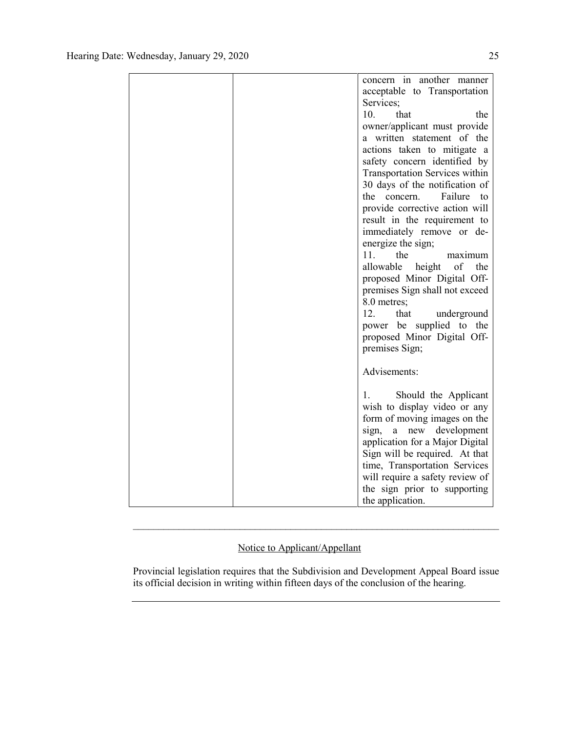|  | concern in another manner                                       |
|--|-----------------------------------------------------------------|
|  | acceptable to Transportation                                    |
|  | Services:                                                       |
|  | 10.<br>that<br>the                                              |
|  | owner/applicant must provide                                    |
|  | a written statement of the                                      |
|  | actions taken to mitigate a                                     |
|  | safety concern identified by                                    |
|  | <b>Transportation Services within</b>                           |
|  | 30 days of the notification of                                  |
|  | Failure<br>the concern.<br>to                                   |
|  | provide corrective action will                                  |
|  | result in the requirement to                                    |
|  | immediately remove or de-                                       |
|  | energize the sign;                                              |
|  | 11.<br>the<br>maximum                                           |
|  | allowable<br>of<br>the<br>height                                |
|  | proposed Minor Digital Off-                                     |
|  | premises Sign shall not exceed                                  |
|  | 8.0 metres;                                                     |
|  | 12.<br>that<br>underground                                      |
|  | power be supplied to the                                        |
|  | proposed Minor Digital Off-                                     |
|  | premises Sign;                                                  |
|  |                                                                 |
|  | Advisements:                                                    |
|  |                                                                 |
|  | Should the Applicant<br>1.                                      |
|  | wish to display video or any                                    |
|  | form of moving images on the                                    |
|  | sign, a new development                                         |
|  | application for a Major Digital                                 |
|  | Sign will be required. At that<br>time, Transportation Services |
|  | will require a safety review of                                 |
|  |                                                                 |
|  | the sign prior to supporting                                    |
|  | the application.                                                |

## Notice to Applicant/Appellant

Provincial legislation requires that the Subdivision and Development Appeal Board issue its official decision in writing within fifteen days of the conclusion of the hearing.

 $\mathcal{L}_\text{max} = \mathcal{L}_\text{max} = \mathcal{L}_\text{max} = \mathcal{L}_\text{max} = \mathcal{L}_\text{max} = \mathcal{L}_\text{max} = \mathcal{L}_\text{max} = \mathcal{L}_\text{max} = \mathcal{L}_\text{max} = \mathcal{L}_\text{max} = \mathcal{L}_\text{max} = \mathcal{L}_\text{max} = \mathcal{L}_\text{max} = \mathcal{L}_\text{max} = \mathcal{L}_\text{max} = \mathcal{L}_\text{max} = \mathcal{L}_\text{max} = \mathcal{L}_\text{max} = \mathcal{$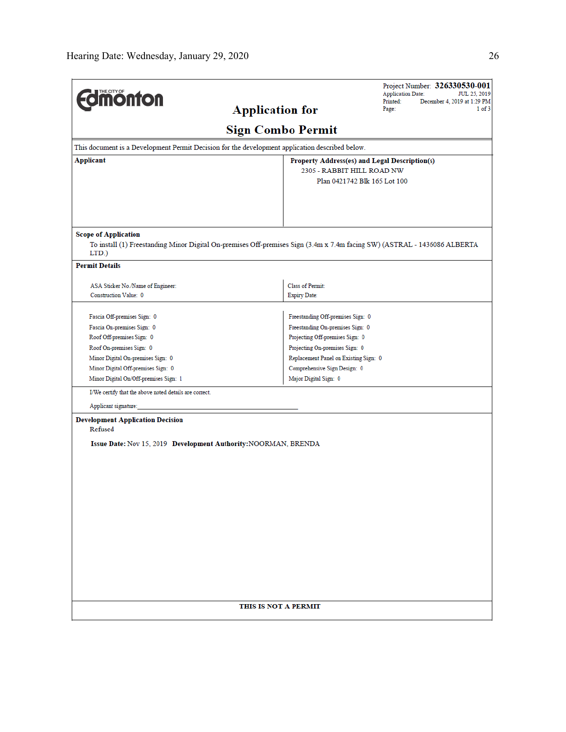| <b>dmonton</b><br><b>Application for</b><br>Applicant<br><b>Scope of Application</b><br>To install (1) Freestanding Minor Digital On-premises Off-premises Sign (3.4m x 7.4m facing SW) (ASTRAL - 1436086 ALBERTA<br>LTD.)<br><b>Permit Details</b><br>ASA Sticker No./Name of Engineer:<br>Construction Value: 0<br>Fascia Off-premises Sign: 0<br>Fascia On-premises Sign: 0<br>Roof Off-premises Sign: 0<br>Roof On-premises Sign: 0<br>Minor Digital On-premises Sign: 0<br>Minor Digital Off-premises Sign: 0<br>Minor Digital On/Off-premises Sign: 1 |                                                                                                 | <b>Application Date:</b><br>JUL 25, 2019<br>Printed:<br>December 4, 2019 at 1:29 PM<br>Page:<br>$1$ of $3$ |  |  |  |  |  |  |  |
|-------------------------------------------------------------------------------------------------------------------------------------------------------------------------------------------------------------------------------------------------------------------------------------------------------------------------------------------------------------------------------------------------------------------------------------------------------------------------------------------------------------------------------------------------------------|-------------------------------------------------------------------------------------------------|------------------------------------------------------------------------------------------------------------|--|--|--|--|--|--|--|
|                                                                                                                                                                                                                                                                                                                                                                                                                                                                                                                                                             |                                                                                                 |                                                                                                            |  |  |  |  |  |  |  |
|                                                                                                                                                                                                                                                                                                                                                                                                                                                                                                                                                             |                                                                                                 |                                                                                                            |  |  |  |  |  |  |  |
|                                                                                                                                                                                                                                                                                                                                                                                                                                                                                                                                                             | <b>Sign Combo Permit</b>                                                                        |                                                                                                            |  |  |  |  |  |  |  |
|                                                                                                                                                                                                                                                                                                                                                                                                                                                                                                                                                             | This document is a Development Permit Decision for the development application described below. |                                                                                                            |  |  |  |  |  |  |  |
|                                                                                                                                                                                                                                                                                                                                                                                                                                                                                                                                                             | Property Address(es) and Legal Description(s)                                                   |                                                                                                            |  |  |  |  |  |  |  |
|                                                                                                                                                                                                                                                                                                                                                                                                                                                                                                                                                             | 2305 - RABBIT HILL ROAD NW                                                                      |                                                                                                            |  |  |  |  |  |  |  |
|                                                                                                                                                                                                                                                                                                                                                                                                                                                                                                                                                             | Plan 0421742 Blk 165 Lot 100                                                                    |                                                                                                            |  |  |  |  |  |  |  |
|                                                                                                                                                                                                                                                                                                                                                                                                                                                                                                                                                             |                                                                                                 |                                                                                                            |  |  |  |  |  |  |  |
|                                                                                                                                                                                                                                                                                                                                                                                                                                                                                                                                                             |                                                                                                 |                                                                                                            |  |  |  |  |  |  |  |
|                                                                                                                                                                                                                                                                                                                                                                                                                                                                                                                                                             |                                                                                                 |                                                                                                            |  |  |  |  |  |  |  |
|                                                                                                                                                                                                                                                                                                                                                                                                                                                                                                                                                             |                                                                                                 |                                                                                                            |  |  |  |  |  |  |  |
|                                                                                                                                                                                                                                                                                                                                                                                                                                                                                                                                                             | Class of Permit:                                                                                |                                                                                                            |  |  |  |  |  |  |  |
|                                                                                                                                                                                                                                                                                                                                                                                                                                                                                                                                                             | <b>Expiry Date:</b>                                                                             |                                                                                                            |  |  |  |  |  |  |  |
|                                                                                                                                                                                                                                                                                                                                                                                                                                                                                                                                                             |                                                                                                 |                                                                                                            |  |  |  |  |  |  |  |
|                                                                                                                                                                                                                                                                                                                                                                                                                                                                                                                                                             | Freestanding Off-premises Sign: 0                                                               |                                                                                                            |  |  |  |  |  |  |  |
|                                                                                                                                                                                                                                                                                                                                                                                                                                                                                                                                                             | Freestanding On-premises Sign: 0                                                                |                                                                                                            |  |  |  |  |  |  |  |
|                                                                                                                                                                                                                                                                                                                                                                                                                                                                                                                                                             | Projecting Off-premises Sign: 0                                                                 |                                                                                                            |  |  |  |  |  |  |  |
|                                                                                                                                                                                                                                                                                                                                                                                                                                                                                                                                                             | Projecting On-premises Sign: 0                                                                  |                                                                                                            |  |  |  |  |  |  |  |
|                                                                                                                                                                                                                                                                                                                                                                                                                                                                                                                                                             | Replacement Panel on Existing Sign: 0                                                           |                                                                                                            |  |  |  |  |  |  |  |
|                                                                                                                                                                                                                                                                                                                                                                                                                                                                                                                                                             | Comprehensive Sign Design: 0                                                                    |                                                                                                            |  |  |  |  |  |  |  |
|                                                                                                                                                                                                                                                                                                                                                                                                                                                                                                                                                             | Major Digital Sign: 0                                                                           |                                                                                                            |  |  |  |  |  |  |  |
| I/We certify that the above noted details are correct.                                                                                                                                                                                                                                                                                                                                                                                                                                                                                                      |                                                                                                 |                                                                                                            |  |  |  |  |  |  |  |
| Applicant signature:                                                                                                                                                                                                                                                                                                                                                                                                                                                                                                                                        |                                                                                                 |                                                                                                            |  |  |  |  |  |  |  |
| <b>Development Application Decision</b><br>Refused                                                                                                                                                                                                                                                                                                                                                                                                                                                                                                          |                                                                                                 |                                                                                                            |  |  |  |  |  |  |  |
| Issue Date: Nov 15, 2019 Development Authority: NOORMAN, BRENDA                                                                                                                                                                                                                                                                                                                                                                                                                                                                                             |                                                                                                 |                                                                                                            |  |  |  |  |  |  |  |
|                                                                                                                                                                                                                                                                                                                                                                                                                                                                                                                                                             |                                                                                                 |                                                                                                            |  |  |  |  |  |  |  |
|                                                                                                                                                                                                                                                                                                                                                                                                                                                                                                                                                             |                                                                                                 |                                                                                                            |  |  |  |  |  |  |  |
|                                                                                                                                                                                                                                                                                                                                                                                                                                                                                                                                                             |                                                                                                 |                                                                                                            |  |  |  |  |  |  |  |
|                                                                                                                                                                                                                                                                                                                                                                                                                                                                                                                                                             |                                                                                                 |                                                                                                            |  |  |  |  |  |  |  |
|                                                                                                                                                                                                                                                                                                                                                                                                                                                                                                                                                             |                                                                                                 |                                                                                                            |  |  |  |  |  |  |  |
|                                                                                                                                                                                                                                                                                                                                                                                                                                                                                                                                                             |                                                                                                 |                                                                                                            |  |  |  |  |  |  |  |
|                                                                                                                                                                                                                                                                                                                                                                                                                                                                                                                                                             |                                                                                                 |                                                                                                            |  |  |  |  |  |  |  |
|                                                                                                                                                                                                                                                                                                                                                                                                                                                                                                                                                             |                                                                                                 |                                                                                                            |  |  |  |  |  |  |  |
|                                                                                                                                                                                                                                                                                                                                                                                                                                                                                                                                                             |                                                                                                 |                                                                                                            |  |  |  |  |  |  |  |
|                                                                                                                                                                                                                                                                                                                                                                                                                                                                                                                                                             |                                                                                                 |                                                                                                            |  |  |  |  |  |  |  |
|                                                                                                                                                                                                                                                                                                                                                                                                                                                                                                                                                             |                                                                                                 |                                                                                                            |  |  |  |  |  |  |  |
|                                                                                                                                                                                                                                                                                                                                                                                                                                                                                                                                                             |                                                                                                 |                                                                                                            |  |  |  |  |  |  |  |
|                                                                                                                                                                                                                                                                                                                                                                                                                                                                                                                                                             |                                                                                                 |                                                                                                            |  |  |  |  |  |  |  |
|                                                                                                                                                                                                                                                                                                                                                                                                                                                                                                                                                             |                                                                                                 |                                                                                                            |  |  |  |  |  |  |  |
|                                                                                                                                                                                                                                                                                                                                                                                                                                                                                                                                                             |                                                                                                 |                                                                                                            |  |  |  |  |  |  |  |
| THIS IS NOT A PERMIT                                                                                                                                                                                                                                                                                                                                                                                                                                                                                                                                        |                                                                                                 |                                                                                                            |  |  |  |  |  |  |  |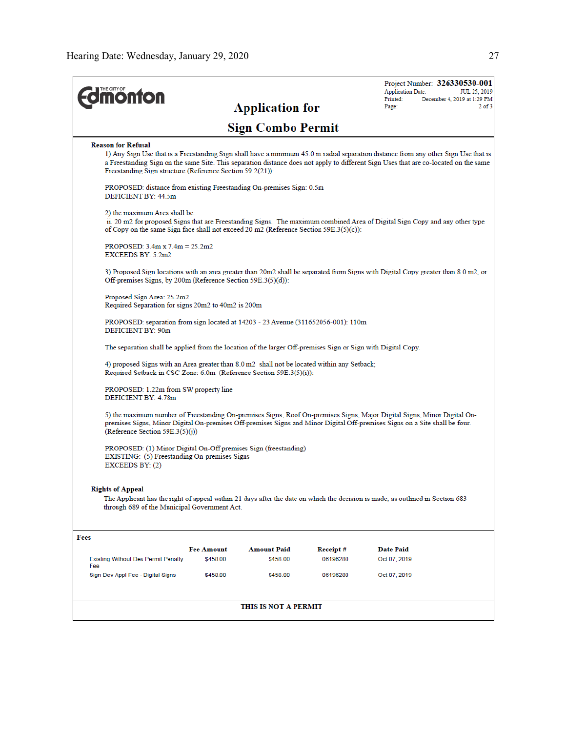| <b>onton</b>                                                                                                                                                                                                                                                                                                                                                         |                               |                                |                      | <b>Application Date:</b><br>Printed: | Project Number: 326330530-001<br>JUL 25, 2019<br>December 4, 2019 at 1:29 PM |
|----------------------------------------------------------------------------------------------------------------------------------------------------------------------------------------------------------------------------------------------------------------------------------------------------------------------------------------------------------------------|-------------------------------|--------------------------------|----------------------|--------------------------------------|------------------------------------------------------------------------------|
|                                                                                                                                                                                                                                                                                                                                                                      |                               | <b>Application for</b>         |                      | Page:                                | $2$ of $3$                                                                   |
|                                                                                                                                                                                                                                                                                                                                                                      |                               | <b>Sign Combo Permit</b>       |                      |                                      |                                                                              |
| <b>Reason for Refusal</b><br>1) Any Sign Use that is a Freestanding Sign shall have a minimum 45.0 m radial separation distance from any other Sign Use that is<br>a Freestanding Sign on the same Site. This separation distance does not apply to different Sign Uses that are co-located on the same<br>Freestanding Sign structure (Reference Section 59.2(21)): |                               |                                |                      |                                      |                                                                              |
| PROPOSED: distance from existing Freestanding On-premises Sign: 0.5m<br>DEFICIENT BY: 44.5m                                                                                                                                                                                                                                                                          |                               |                                |                      |                                      |                                                                              |
| 2) the maximum Area shall be:<br>ii. 20 m2 for proposed Signs that are Freestanding Signs. The maximum combined Area of Digital Sign Copy and any other type<br>of Copy on the same Sign face shall not exceed 20 m2 (Reference Section $59E.3(5)(c)$ ):                                                                                                             |                               |                                |                      |                                      |                                                                              |
| PROPOSED: $3.4m \times 7.4m = 25.2m2$<br>EXCEEDS BY: 5.2m2                                                                                                                                                                                                                                                                                                           |                               |                                |                      |                                      |                                                                              |
| 3) Proposed Sign locations with an area greater than 20m2 shall be separated from Signs with Digital Copy greater than 8.0 m2, or<br>Off-premises Signs, by 200m (Reference Section 59E.3(5)(d)):                                                                                                                                                                    |                               |                                |                      |                                      |                                                                              |
| Proposed Sign Area: 25.2m2<br>Required Separation for signs 20m2 to 40m2 is 200m                                                                                                                                                                                                                                                                                     |                               |                                |                      |                                      |                                                                              |
| PROPOSED: separation from sign located at 14203 - 23 Avenue (311652056-001): 110m<br><b>DEFICIENT BY: 90m</b>                                                                                                                                                                                                                                                        |                               |                                |                      |                                      |                                                                              |
| The separation shall be applied from the location of the larger Off-premises Sign or Sign with Digital Copy.                                                                                                                                                                                                                                                         |                               |                                |                      |                                      |                                                                              |
| 4) proposed Signs with an Area greater than 8.0 m2 shall not be located within any Setback;<br>Required Setback in CSC Zone: 6.0m (Reference Section 59E.3(5)(i)):                                                                                                                                                                                                   |                               |                                |                      |                                      |                                                                              |
| PROPOSED: 1.22m from SW property line<br>DEFICIENT BY: 4.78m                                                                                                                                                                                                                                                                                                         |                               |                                |                      |                                      |                                                                              |
| 5) the maximum number of Freestanding On-premises Signs, Roof On-premises Signs, Major Digital Signs, Minor Digital On-<br>premises Signs, Minor Digital On-premises Off-premises Signs and Minor Digital Off-premises Signs on a Site shall be four.<br>(Reference Section 59E.3(5)(i))                                                                             |                               |                                |                      |                                      |                                                                              |
| PROPOSED: (1) Minor Digital On-Off premises Sign (freestanding)<br>EXISTING: (5) Freestanding On-premises Signs<br>EXCEEDS BY: $(2)$                                                                                                                                                                                                                                 |                               |                                |                      |                                      |                                                                              |
| <b>Rights of Appeal</b><br>The Applicant has the right of appeal within 21 days after the date on which the decision is made, as outlined in Section 683<br>through 689 of the Municipal Government Act.                                                                                                                                                             |                               |                                |                      |                                      |                                                                              |
| Fees                                                                                                                                                                                                                                                                                                                                                                 |                               |                                |                      |                                      |                                                                              |
|                                                                                                                                                                                                                                                                                                                                                                      | <b>Fee Amount</b><br>\$458.00 | <b>Amount Paid</b><br>\$458.00 | Receipt#<br>06196280 | Date Paid<br>Oct 07, 2019            |                                                                              |
| <b>Existing Without Dev Permit Penalty</b><br>Fee<br>Sign Dev Appl Fee - Digital Signs                                                                                                                                                                                                                                                                               | \$458.00                      | \$458.00                       | 06196280             | Oct 07, 2019                         |                                                                              |
|                                                                                                                                                                                                                                                                                                                                                                      |                               |                                |                      |                                      |                                                                              |
|                                                                                                                                                                                                                                                                                                                                                                      |                               | THIS IS NOT A PERMIT           |                      |                                      |                                                                              |
|                                                                                                                                                                                                                                                                                                                                                                      |                               |                                |                      |                                      |                                                                              |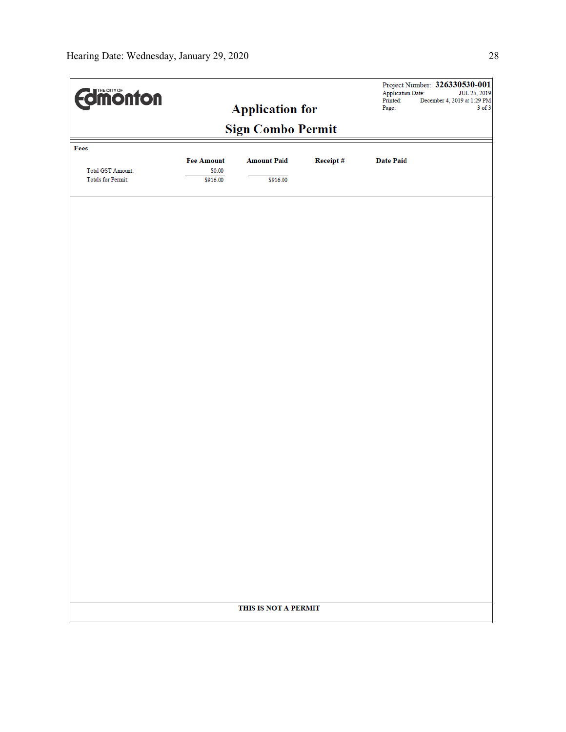| <b>Edimonton</b><br><b>Application for</b>     |                   |                    |          | Project Number: 326330530-001<br>Application Date:<br>JUL 25, 2019<br>Printed:<br>December 4, 2019 at 1:29 PM |  |  |  |  |  |
|------------------------------------------------|-------------------|--------------------|----------|---------------------------------------------------------------------------------------------------------------|--|--|--|--|--|
|                                                | Page:             | $3$ of $3$         |          |                                                                                                               |  |  |  |  |  |
| <b>Sign Combo Permit</b>                       |                   |                    |          |                                                                                                               |  |  |  |  |  |
| Fees                                           |                   |                    |          |                                                                                                               |  |  |  |  |  |
|                                                | <b>Fee Amount</b> | <b>Amount Paid</b> | Receipt# | <b>Date Paid</b>                                                                                              |  |  |  |  |  |
| <b>Total GST Amount:</b><br>Totals for Permit: | \$0.00            |                    |          |                                                                                                               |  |  |  |  |  |
|                                                | \$916.00          | \$916.00           |          |                                                                                                               |  |  |  |  |  |
|                                                |                   |                    |          |                                                                                                               |  |  |  |  |  |
|                                                |                   |                    |          |                                                                                                               |  |  |  |  |  |
|                                                |                   |                    |          |                                                                                                               |  |  |  |  |  |
|                                                |                   |                    |          |                                                                                                               |  |  |  |  |  |
|                                                |                   |                    |          |                                                                                                               |  |  |  |  |  |
|                                                |                   |                    |          |                                                                                                               |  |  |  |  |  |
|                                                |                   |                    |          |                                                                                                               |  |  |  |  |  |
|                                                |                   |                    |          |                                                                                                               |  |  |  |  |  |
|                                                |                   |                    |          |                                                                                                               |  |  |  |  |  |
|                                                |                   |                    |          |                                                                                                               |  |  |  |  |  |
|                                                |                   |                    |          |                                                                                                               |  |  |  |  |  |
|                                                |                   |                    |          |                                                                                                               |  |  |  |  |  |
|                                                |                   |                    |          |                                                                                                               |  |  |  |  |  |
|                                                |                   |                    |          |                                                                                                               |  |  |  |  |  |
|                                                |                   |                    |          |                                                                                                               |  |  |  |  |  |
|                                                |                   |                    |          |                                                                                                               |  |  |  |  |  |
|                                                |                   |                    |          |                                                                                                               |  |  |  |  |  |
|                                                |                   |                    |          |                                                                                                               |  |  |  |  |  |
|                                                |                   |                    |          |                                                                                                               |  |  |  |  |  |
|                                                |                   |                    |          |                                                                                                               |  |  |  |  |  |
|                                                |                   |                    |          |                                                                                                               |  |  |  |  |  |
|                                                |                   |                    |          |                                                                                                               |  |  |  |  |  |
|                                                |                   |                    |          |                                                                                                               |  |  |  |  |  |
|                                                |                   |                    |          |                                                                                                               |  |  |  |  |  |
|                                                |                   |                    |          |                                                                                                               |  |  |  |  |  |
|                                                |                   |                    |          |                                                                                                               |  |  |  |  |  |
|                                                |                   |                    |          |                                                                                                               |  |  |  |  |  |
|                                                |                   |                    |          |                                                                                                               |  |  |  |  |  |
| THIS IS NOT A PERMIT                           |                   |                    |          |                                                                                                               |  |  |  |  |  |
|                                                |                   |                    |          |                                                                                                               |  |  |  |  |  |